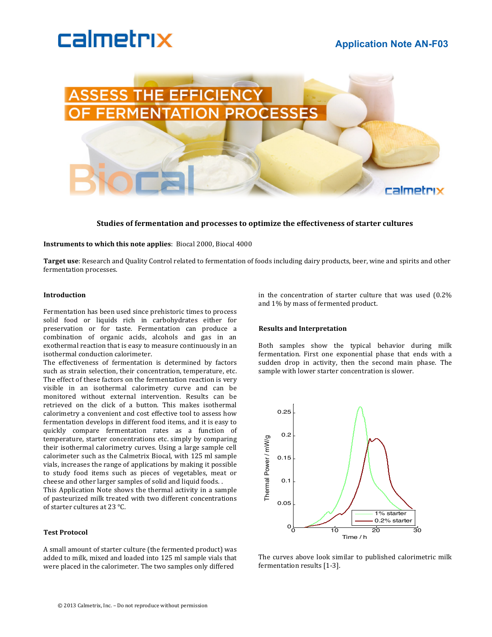# calmetrix

# **Application Note AN-F03**



## **Studies of fermentation and processes to optimize the effectiveness of starter cultures**

**Instruments to which this note applies**: Biocal 2000, Biocal 4000

Target use: Research and Quality Control related to fermentation of foods including dairy products, beer, wine and spirits and other fermentation processes.

#### **Introduction**

Fermentation has been used since prehistoric times to process solid food or liquids rich in carbohydrates either for preservation or for taste. Fermentation can produce a combination of organic acids, alcohols and gas in an exothermal reaction that is easy to measure continuously in an isothermal conduction calorimeter.

The effectiveness of fermentation is determined by factors such as strain selection, their concentration, temperature, etc. The effect of these factors on the fermentation reaction is very visible in an isothermal calorimetry curve and can be monitored without external intervention. Results can be retrieved on the click of a button. This makes isothermal calorimetry a convenient and cost effective tool to assess how fermentation develops in different food items, and it is easy to quickly compare fermentation rates as a function of temperature, starter concentrations etc. simply by comparing their isothermal calorimetry curves. Using a large sample cell calorimeter such as the Calmetrix Biocal, with 125 ml sample vials, increases the range of applications by making it possible to study food items such as pieces of vegetables, meat or cheese and other larger samples of solid and liquid foods...

This Application Note shows the thermal activity in a sample of pasteurized milk treated with two different concentrations of starter cultures at 23 °C.

#### **Test!Protocol**

A small amount of starter culture (the fermented product) was added to milk, mixed and loaded into 125 ml sample vials that were placed in the calorimeter. The two samples only differed

in the concentration of starter culture that was used  $(0.2\%)$ and 1% by mass of fermented product.

#### **Results and!Interpretation**

Both samples show the typical behavior during milk fermentation. First one exponential phase that ends with a sudden drop in activity, then the second main phase. The sample with lower starter concentration is slower.



The curves above look similar to published calorimetric milk fermentation results [1-3].